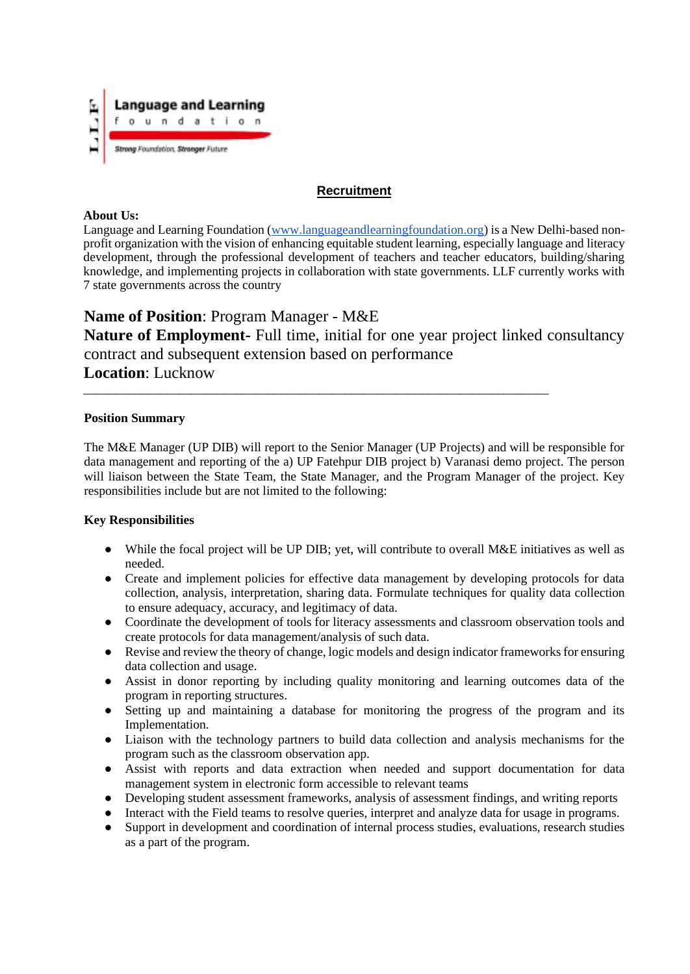

# **Recruitment**

#### **About Us:**

Language and Learning Foundation (www.languageandlearningfoundation.org) is a New Delhi-based nonprofit organization with the vision of enhancing equitable student learning, especially language and literacy development, through the professional development of teachers and teacher educators, building/sharing knowledge, and implementing projects in collaboration with state governments. LLF currently works with 7 state governments across the country

# **Name of Position**: Program Manager - M&E

**Nature of Employment-** Full time, initial for one year project linked consultancy contract and subsequent extension based on performance **Location**: Lucknow

\_\_\_\_\_\_\_\_\_\_\_\_\_\_\_\_\_\_\_\_\_\_\_\_\_\_\_\_\_\_\_\_\_\_\_\_\_\_\_\_\_\_\_\_\_\_\_\_\_\_\_\_\_\_\_\_\_\_\_\_\_\_\_\_\_\_\_\_\_\_\_\_\_

#### **Position Summary**

The M&E Manager (UP DIB) will report to the Senior Manager (UP Projects) and will be responsible for data management and reporting of the a) UP Fatehpur DIB project b) Varanasi demo project. The person will liaison between the State Team, the State Manager, and the Program Manager of the project. Key responsibilities include but are not limited to the following:

## **Key Responsibilities**

- While the focal project will be UP DIB; yet, will contribute to overall M&E initiatives as well as needed.
- Create and implement policies for effective data management by developing protocols for data collection, analysis, interpretation, sharing data. Formulate techniques for quality data collection to ensure adequacy, accuracy, and legitimacy of data.
- Coordinate the development of tools for literacy assessments and classroom observation tools and create protocols for data management/analysis of such data.
- Revise and review the theory of change, logic models and design indicator frameworks for ensuring data collection and usage.
- Assist in donor reporting by including quality monitoring and learning outcomes data of the program in reporting structures.
- Setting up and maintaining a database for monitoring the progress of the program and its Implementation.
- Liaison with the technology partners to build data collection and analysis mechanisms for the program such as the classroom observation app.
- Assist with reports and data extraction when needed and support documentation for data management system in electronic form accessible to relevant teams
- Developing student assessment frameworks, analysis of assessment findings, and writing reports
- Interact with the Field teams to resolve queries, interpret and analyze data for usage in programs.
- Support in development and coordination of internal process studies, evaluations, research studies as a part of the program.